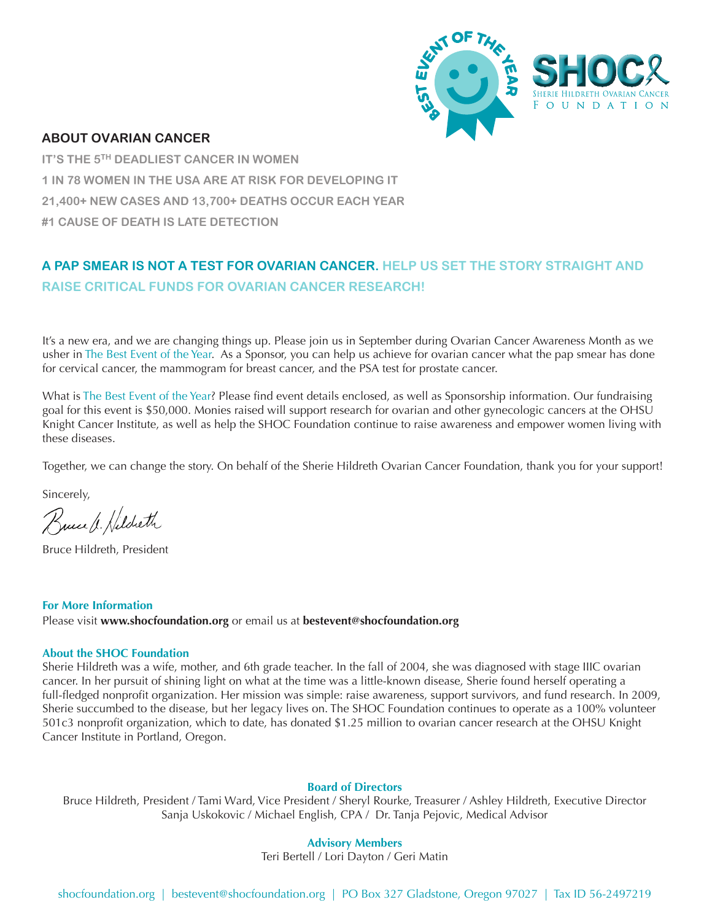

#### **ABOUT OVARIAN CANCER**

**IT'S THE 5TH DEADLIEST CANCER IN WOMEN 1 IN 78 WOMEN IN THE USA ARE AT RISK FOR DEVELOPING IT 21,400+ NEW CASES AND 13,700+ DEATHS OCCUR EACH YEAR #1 CAUSE OF DEATH IS LATE DETECTION** 

## **A PAP SMEAR IS NOT A TEST FOR OVARIAN CANCER. HELP US SET THE STORY STRAIGHT AND RAISE CRITICAL FUNDS FOR OVARIAN CANCER RESEARCH!**

It's a new era, and we are changing things up. Please join us in September during Ovarian Cancer Awareness Month as we usher in The Best Event of the Year. As a Sponsor, you can help us achieve for ovarian cancer what the pap smear has done for cervical cancer, the mammogram for breast cancer, and the PSA test for prostate cancer.

What is The Best Event of the Year? Please find event details enclosed, as well as Sponsorship information. Our fundraising goal for this event is \$50,000. Monies raised will support research for ovarian and other gynecologic cancers at the OHSU Knight Cancer Institute, as well as help the SHOC Foundation continue to raise awareness and empower women living with these diseases.

Together, we can change the story. On behalf of the Sherie Hildreth Ovarian Cancer Foundation, thank you for your support!

Sincerely,

Bucch Hildreth

Bruce Hildreth, President

#### **For More Information**

Please visit **www.shocfoundation.org** or email us at **bestevent@shocfoundation.org**

#### **About the SHOC Foundation**

Sherie Hildreth was a wife, mother, and 6th grade teacher. In the fall of 2004, she was diagnosed with stage IIIC ovarian cancer. In her pursuit of shining light on what at the time was a little-known disease, Sherie found herself operating a full-fledged nonprofit organization. Her mission was simple: raise awareness, support survivors, and fund research. In 2009, Sherie succumbed to the disease, but her legacy lives on. The SHOC Foundation continues to operate as a 100% volunteer 501c3 nonprofit organization, which to date, has donated \$1.25 million to ovarian cancer research at the OHSU Knight Cancer Institute in Portland, Oregon.

#### **Board of Directors**

Bruce Hildreth, President / Tami Ward, Vice President / Sheryl Rourke, Treasurer / Ashley Hildreth, Executive Director Sanja Uskokovic / Michael English, CPA / Dr. Tanja Pejovic, Medical Advisor

#### **Advisory Members**

Teri Bertell / Lori Dayton / Geri Matin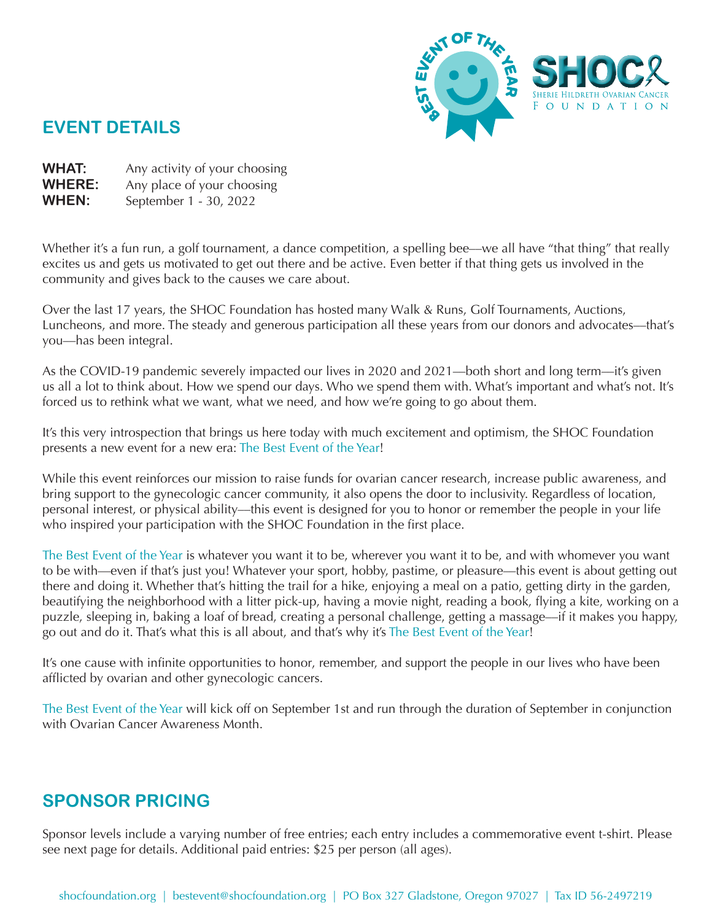

## **EVENT DETAILS**

- WHAT: Any activity of your choosing
- **WHERE:** Any place of your choosing
- **WHEN:** September 1 - 30, 2022

Whether it's a fun run, a golf tournament, a dance competition, a spelling bee—we all have "that thing" that really excites us and gets us motivated to get out there and be active. Even better if that thing gets us involved in the community and gives back to the causes we care about.

Over the last 17 years, the SHOC Foundation has hosted many Walk & Runs, Golf Tournaments, Auctions, Luncheons, and more. The steady and generous participation all these years from our donors and advocates––that's you––has been integral.

As the COVID-19 pandemic severely impacted our lives in 2020 and 2021––both short and long term––it's given us all a lot to think about. How we spend our days. Who we spend them with. What's important and what's not. It's forced us to rethink what we want, what we need, and how we're going to go about them.

It's this very introspection that brings us here today with much excitement and optimism, the SHOC Foundation presents a new event for a new era: The Best Event of the Year!

While this event reinforces our mission to raise funds for ovarian cancer research, increase public awareness, and bring support to the gynecologic cancer community, it also opens the door to inclusivity. Regardless of location, personal interest, or physical ability—this event is designed for you to honor or remember the people in your life who inspired your participation with the SHOC Foundation in the first place.

The Best Event of the Year is whatever you want it to be, wherever you want it to be, and with whomever you want to be with—even if that's just you! Whatever your sport, hobby, pastime, or pleasure––this event is about getting out there and doing it. Whether that's hitting the trail for a hike, enjoying a meal on a patio, getting dirty in the garden, beautifying the neighborhood with a litter pick-up, having a movie night, reading a book, flying a kite, working on a puzzle, sleeping in, baking a loaf of bread, creating a personal challenge, getting a massage––if it makes you happy, go out and do it. That's what this is all about, and that's why it's The Best Event of the Year!

It's one cause with infinite opportunities to honor, remember, and support the people in our lives who have been afflicted by ovarian and other gynecologic cancers.

The Best Event of the Year will kick off on September 1st and run through the duration of September in conjunction with Ovarian Cancer Awareness Month.

# **SPONSOR PRICING**

Sponsor levels include a varying number of free entries; each entry includes a commemorative event t-shirt. Please see next page for details. Additional paid entries: \$25 per person (all ages).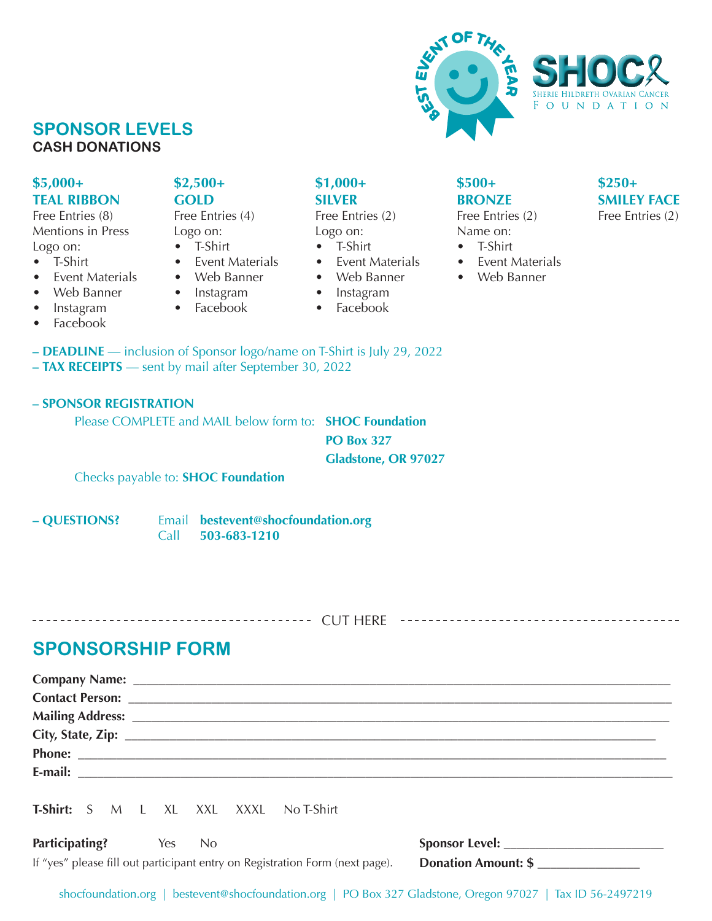

## **SPONSOR LEVELS CASH DONATIONS**

#### **\$5,000+ TEAL RIBBON**

Free Entries (8) Mentions in Press Logo on:

- T-Shirt
- Event Materials
- Web Banner
- Instagram
- Facebook

### **\$2,500+ GOLD**

Free Entries (4) Logo on: • T-Shirt

- 
- **Event Materials** • Web Banner
- Instagram
- Facebook

**\$1,000+ SILVER**

Free Entries (2) Logo on: • T-Shirt

- Event Materials
- Web Banner
- 
- Instagram
- Facebook
- **DEADLINE** inclusion of Sponsor logo/name on T-Shirt is July 29, 2022 **– TAX RECEIPTS** –– sent by mail after September 30, 2022

#### **– SPONSOR REGISTRATION**

Please COMPLETE and MAIL below form to: **SHOC Foundation**

**PO Box 327 Gladstone, OR 97027**

Checks payable to: **SHOC Foundation**

**– QUESTIONS?** Email **bestevent@shocfoundation.org** Call **503-683-1210**

# CUT HERE

# **SPONSORSHIP FORM**

| <b>T-Shirt:</b> S M L XL XXL XXXL No T-Shirt |  |  |                                                                              |                            |
|----------------------------------------------|--|--|------------------------------------------------------------------------------|----------------------------|
| Participating? Yes No                        |  |  |                                                                              |                            |
|                                              |  |  | If "yes" please fill out participant entry on Registration Form (next page). | <b>Donation Amount: \$</b> |

## **\$500+ BRONZE**

Free Entries (2) Name on: • T-Shirt

- 
- Event Materials
- Web Banner
- **\$250+ SMILEY FACE** Free Entries (2)